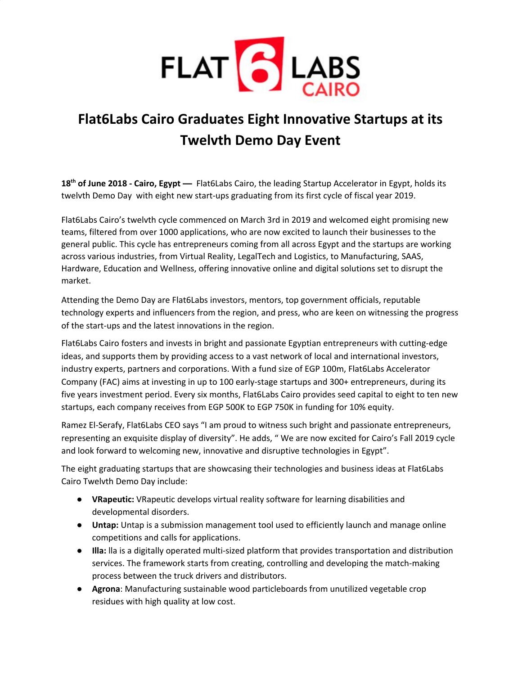

## **Flat6Labs Cairo Graduates Eight Innovative Startups at its Twelvth Demo Day Event**

**18 th of June 2018 - Cairo, Egypt —** Flat6Labs Cairo, the leading Startup Accelerator in Egypt, holds its twelvth Demo Day with eight new start-ups graduating from its first cycle of fiscal year 2019.

Flat6Labs Cairo's twelvth cycle commenced on March 3rd in 2019 and welcomed eight promising new teams, filtered from over 1000 applications, who are now excited to launch their businesses to the general public. This cycle has entrepreneurs coming from all across Egypt and the startups are working across various industries, from Virtual Reality, LegalTech and Logistics, to Manufacturing, SAAS, Hardware, Education and Wellness, offering innovative online and digital solutions set to disrupt the market.

Attending the Demo Day are Flat6Labs investors, mentors, top government officials, reputable technology experts and influencers from the region, and press, who are keen on witnessing the progress of the start-ups and the latest innovations in the region.

Flat6Labs Cairo fosters and invests in bright and passionate Egyptian entrepreneurs with cutting-edge ideas, and supports them by providing access to a vast network of local and international investors, industry experts, partners and corporations. With a fund size of EGP 100m, Flat6Labs Accelerator Company (FAC) aims at investing in up to 100 early-stage startups and 300+ entrepreneurs, during its five years investment period. Every six months, Flat6Labs Cairo provides seed capital to eight to ten new startups, each company receives from EGP 500K to EGP 750K in funding for 10% equity.

Ramez El-Serafy, Flat6Labs CEO says "I am proud to witness such bright and passionate entrepreneurs, representing an exquisite display of diversity". He adds, " We are now excited for Cairo's Fall 2019 cycle and look forward to welcoming new, innovative and disruptive technologies in Egypt".

The eight graduating startups that are showcasing their technologies and business ideas at Flat6Labs Cairo Twelvth Demo Day include:

- **VRapeutic:** VRapeutic develops virtual reality software for learning disabilities and developmental disorders.
- **Untap:** Untap is a submission management tool used to efficiently launch and manage online competitions and calls for applications.
- **Illa:** lla is a digitally operated multi-sized platform that provides transportation and distribution services. The framework starts from creating, controlling and developing the match-making process between the truck drivers and distributors.
- **Agrona**: Manufacturing sustainable wood particleboards from unutilized vegetable crop residues with high quality at low cost.